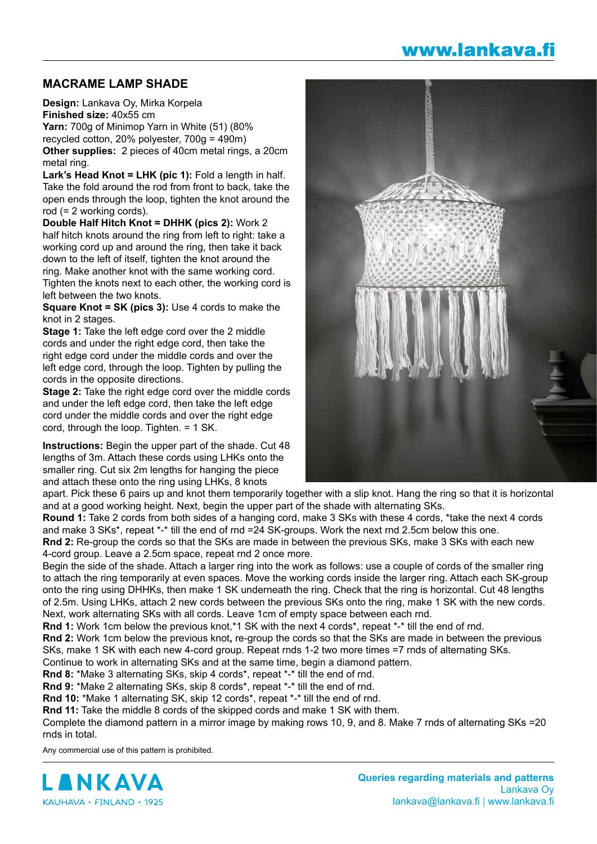## www.lankava.fi

## **MACRAME LAMP SHADE**

**Design:** Lankava Oy, Mirka Korpela **Finished size:** 40x55 cm

**Yarn:** 700g of Minimop Yarn in White (51) (80% recycled cotton, 20% polyester, 700g = 490m) **Other supplies:** 2 pieces of 40cm metal rings, a 20cm metal ring.

**Lark's Head Knot = LHK (pic 1):** Fold a length in half. Take the fold around the rod from front to back, take the open ends through the loop, tighten the knot around the rod (= 2 working cords).

**Double Half Hitch Knot = DHHK (pics 2):** Work 2 half hitch knots around the ring from left to right: take a working cord up and around the ring, then take it back down to the left of itself, tighten the knot around the ring. Make another knot with the same working cord. Tighten the knots next to each other, the working cord is left between the two knots.

**Square Knot = SK (pics 3):** Use 4 cords to make the knot in 2 stages.

**Stage 1:** Take the left edge cord over the 2 middle cords and under the right edge cord, then take the right edge cord under the middle cords and over the left edge cord, through the loop. Tighten by pulling the cords in the opposite directions.

**Stage 2:** Take the right edge cord over the middle cords and under the left edge cord, then take the left edge cord under the middle cords and over the right edge cord, through the loop. Tighten. = 1 SK.

**Instructions:** Begin the upper part of the shade. Cut 48 lengths of 3m. Attach these cords using LHKs onto the smaller ring. Cut six 2m lengths for hanging the piece and attach these onto the ring using LHKs, 8 knots



apart. Pick these 6 pairs up and knot them temporarily together with a slip knot. Hang the ring so that it is horizontal and at a good working height. Next, begin the upper part of the shade with alternating SKs.

**Round 1:** Take 2 cords from both sides of a hanging cord, make 3 SKs with these 4 cords, \*take the next 4 cords and make 3 SKs\*, repeat \*-\* till the end of rnd =24 SK-groups. Work the next rnd 2.5cm below this one. **Rnd 2:** Re-group the cords so that the SKs are made in between the previous SKs, make 3 SKs with each new

4-cord group. Leave a 2.5cm space, repeat rnd 2 once more.

Begin the side of the shade. Attach a larger ring into the work as follows: use a couple of cords of the smaller ring to attach the ring temporarily at even spaces. Move the working cords inside the larger ring. Attach each SK-group onto the ring using DHHKs, then make 1 SK underneath the ring. Check that the ring is horizontal. Cut 48 lengths of 2.5m. Using LHKs, attach 2 new cords between the previous SKs onto the ring, make 1 SK with the new cords. Next, work alternating SKs with all cords. Leave 1cm of empty space between each rnd.

Rnd 1: Work 1cm below the previous knot,\*1 SK with the next 4 cords\*, repeat \*-\* till the end of rnd.

**Rnd 2:** Work 1cm below the previous knot**,** re-group the cords so that the SKs are made in between the previous SKs, make 1 SK with each new 4-cord group. Repeat rnds 1-2 two more times =7 rnds of alternating SKs. Continue to work in alternating SKs and at the same time, begin a diamond pattern.

**Rnd 8:** \*Make 3 alternating SKs, skip 4 cords\*, repeat \*-\* till the end of rnd.

**Rnd 9:** \*Make 2 alternating SKs, skip 8 cords\*, repeat \*-\* till the end of rnd.

**Rnd 10:** \*Make 1 alternating SK, skip 12 cords\*, repeat \*-\* till the end of rnd.

**Rnd 11:** Take the middle 8 cords of the skipped cords and make 1 SK with them.

Complete the diamond pattern in a mirror image by making rows 10, 9, and 8. Make 7 rnds of alternating SKs =20 rnds in total.

Any commercial use of this pattern is prohibited.